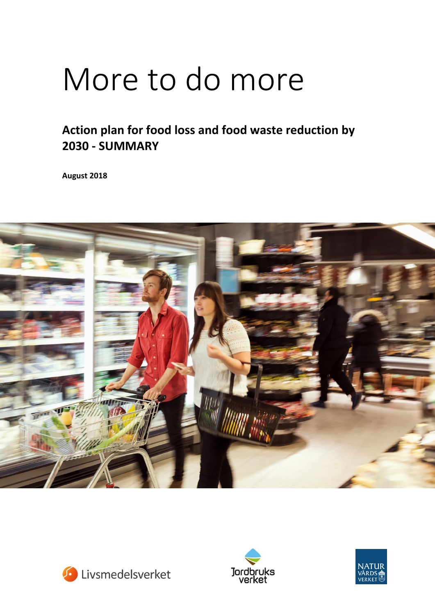# More to do more

## **Action plan for food loss and food waste reduction by 2030 - SUMMARY**

**August 2018** 







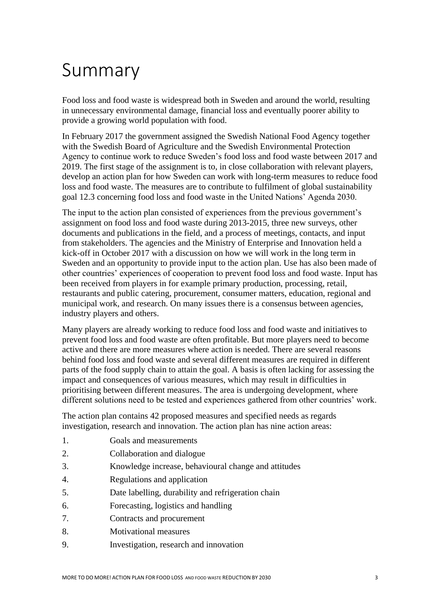## Summary

Food loss and food waste is widespread both in Sweden and around the world, resulting in unnecessary environmental damage, financial loss and eventually poorer ability to provide a growing world population with food.

In February 2017 the government assigned the Swedish National Food Agency together with the Swedish Board of Agriculture and the Swedish Environmental Protection Agency to continue work to reduce Sweden's food loss and food waste between 2017 and 2019. The first stage of the assignment is to, in close collaboration with relevant players, develop an action plan for how Sweden can work with long-term measures to reduce food loss and food waste. The measures are to contribute to fulfilment of global sustainability goal 12.3 concerning food loss and food waste in the United Nations' Agenda 2030.

The input to the action plan consisted of experiences from the previous government's assignment on food loss and food waste during 2013-2015, three new surveys, other documents and publications in the field, and a process of meetings, contacts, and input from stakeholders. The agencies and the Ministry of Enterprise and Innovation held a kick-off in October 2017 with a discussion on how we will work in the long term in Sweden and an opportunity to provide input to the action plan. Use has also been made of other countries' experiences of cooperation to prevent food loss and food waste. Input has been received from players in for example primary production, processing, retail, restaurants and public catering, procurement, consumer matters, education, regional and municipal work, and research. On many issues there is a consensus between agencies, industry players and others.

Many players are already working to reduce food loss and food waste and initiatives to prevent food loss and food waste are often profitable. But more players need to become active and there are more measures where action is needed. There are several reasons behind food loss and food waste and several different measures are required in different parts of the food supply chain to attain the goal. A basis is often lacking for assessing the impact and consequences of various measures, which may result in difficulties in prioritising between different measures. The area is undergoing development, where different solutions need to be tested and experiences gathered from other countries' work.

The action plan contains 42 proposed measures and specified needs as regards investigation, research and innovation. The action plan has nine action areas:

- 1. Goals and measurements
- 2. Collaboration and dialogue
- 3. Knowledge increase, behavioural change and attitudes
- 4. Regulations and application
- 5. Date labelling, durability and refrigeration chain
- 6. Forecasting, logistics and handling
- 7. Contracts and procurement
- 8. Motivational measures
- 9. Investigation, research and innovation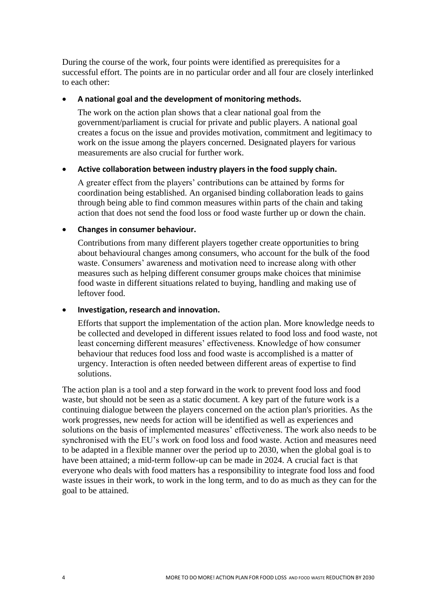During the course of the work, four points were identified as prerequisites for a successful effort. The points are in no particular order and all four are closely interlinked to each other:

## **A national goal and the development of monitoring methods.**

The work on the action plan shows that a clear national goal from the government/parliament is crucial for private and public players. A national goal creates a focus on the issue and provides motivation, commitment and legitimacy to work on the issue among the players concerned. Designated players for various measurements are also crucial for further work.

## **Active collaboration between industry players in the food supply chain.**

A greater effect from the players' contributions can be attained by forms for coordination being established. An organised binding collaboration leads to gains through being able to find common measures within parts of the chain and taking action that does not send the food loss or food waste further up or down the chain.

## **Changes in consumer behaviour.**

Contributions from many different players together create opportunities to bring about behavioural changes among consumers, who account for the bulk of the food waste. Consumers' awareness and motivation need to increase along with other measures such as helping different consumer groups make choices that minimise food waste in different situations related to buying, handling and making use of leftover food.

## **Investigation, research and innovation.**

Efforts that support the implementation of the action plan. More knowledge needs to be collected and developed in different issues related to food loss and food waste, not least concerning different measures' effectiveness. Knowledge of how consumer behaviour that reduces food loss and food waste is accomplished is a matter of urgency. Interaction is often needed between different areas of expertise to find solutions.

The action plan is a tool and a step forward in the work to prevent food loss and food waste, but should not be seen as a static document. A key part of the future work is a continuing dialogue between the players concerned on the action plan's priorities. As the work progresses, new needs for action will be identified as well as experiences and solutions on the basis of implemented measures' effectiveness. The work also needs to be synchronised with the EU's work on food loss and food waste. Action and measures need to be adapted in a flexible manner over the period up to 2030, when the global goal is to have been attained; a mid-term follow-up can be made in 2024. A crucial fact is that everyone who deals with food matters has a responsibility to integrate food loss and food waste issues in their work, to work in the long term, and to do as much as they can for the goal to be attained.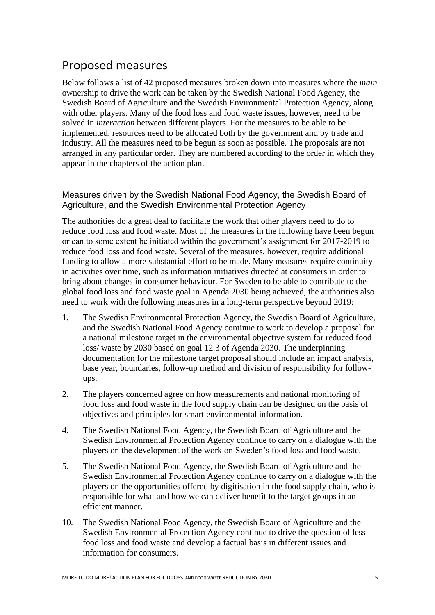## Proposed measures

Below follows a list of 42 proposed measures broken down into measures where the *main* ownership to drive the work can be taken by the Swedish National Food Agency, the Swedish Board of Agriculture and the Swedish Environmental Protection Agency, along with other players. Many of the food loss and food waste issues, however, need to be solved in *interaction* between different players. For the measures to be able to be implemented, resources need to be allocated both by the government and by trade and industry. All the measures need to be begun as soon as possible. The proposals are not arranged in any particular order. They are numbered according to the order in which they appear in the chapters of the action plan.

Measures driven by the Swedish National Food Agency, the Swedish Board of Agriculture, and the Swedish Environmental Protection Agency

The authorities do a great deal to facilitate the work that other players need to do to reduce food loss and food waste. Most of the measures in the following have been begun or can to some extent be initiated within the government's assignment for 2017-2019 to reduce food loss and food waste. Several of the measures, however, require additional funding to allow a more substantial effort to be made. Many measures require continuity in activities over time, such as information initiatives directed at consumers in order to bring about changes in consumer behaviour. For Sweden to be able to contribute to the global food loss and food waste goal in Agenda 2030 being achieved, the authorities also need to work with the following measures in a long-term perspective beyond 2019:

- 1. The Swedish Environmental Protection Agency, the Swedish Board of Agriculture, and the Swedish National Food Agency continue to work to develop a proposal for a national milestone target in the environmental objective system for reduced food loss/ waste by 2030 based on goal 12.3 of Agenda 2030. The underpinning documentation for the milestone target proposal should include an impact analysis, base year, boundaries, follow-up method and division of responsibility for followups.
- 2. The players concerned agree on how measurements and national monitoring of food loss and food waste in the food supply chain can be designed on the basis of objectives and principles for smart environmental information.
- 4. The Swedish National Food Agency, the Swedish Board of Agriculture and the Swedish Environmental Protection Agency continue to carry on a dialogue with the players on the development of the work on Sweden's food loss and food waste.
- 5. The Swedish National Food Agency, the Swedish Board of Agriculture and the Swedish Environmental Protection Agency continue to carry on a dialogue with the players on the opportunities offered by digitisation in the food supply chain, who is responsible for what and how we can deliver benefit to the target groups in an efficient manner.
- 10. The Swedish National Food Agency, the Swedish Board of Agriculture and the Swedish Environmental Protection Agency continue to drive the question of less food loss and food waste and develop a factual basis in different issues and information for consumers.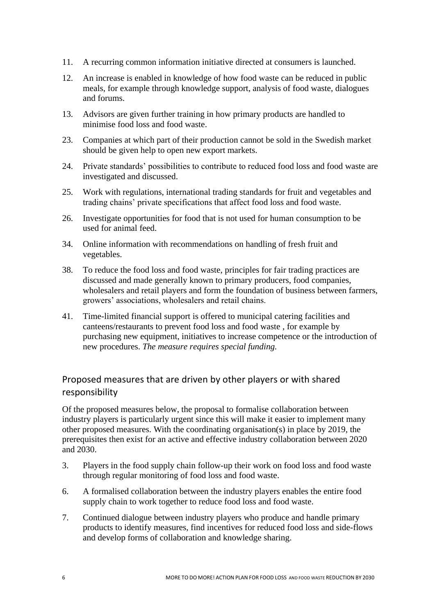- 11. A recurring common information initiative directed at consumers is launched.
- 12. An increase is enabled in knowledge of how food waste can be reduced in public meals, for example through knowledge support, analysis of food waste, dialogues and forums.
- 13. Advisors are given further training in how primary products are handled to minimise food loss and food waste.
- 23. Companies at which part of their production cannot be sold in the Swedish market should be given help to open new export markets.
- 24. Private standards' possibilities to contribute to reduced food loss and food waste are investigated and discussed.
- 25. Work with regulations, international trading standards for fruit and vegetables and trading chains' private specifications that affect food loss and food waste.
- 26. Investigate opportunities for food that is not used for human consumption to be used for animal feed.
- 34. Online information with recommendations on handling of fresh fruit and vegetables.
- 38. To reduce the food loss and food waste, principles for fair trading practices are discussed and made generally known to primary producers, food companies, wholesalers and retail players and form the foundation of business between farmers, growers' associations, wholesalers and retail chains.
- 41. Time-limited financial support is offered to municipal catering facilities and canteens/restaurants to prevent food loss and food waste , for example by purchasing new equipment, initiatives to increase competence or the introduction of new procedures. *The measure requires special funding.*

## Proposed measures that are driven by other players or with shared responsibility

Of the proposed measures below, the proposal to formalise collaboration between industry players is particularly urgent since this will make it easier to implement many other proposed measures. With the coordinating organisation(s) in place by 2019, the prerequisites then exist for an active and effective industry collaboration between 2020 and 2030.

- 3. Players in the food supply chain follow-up their work on food loss and food waste through regular monitoring of food loss and food waste.
- 6. A formalised collaboration between the industry players enables the entire food supply chain to work together to reduce food loss and food waste.
- 7. Continued dialogue between industry players who produce and handle primary products to identify measures, find incentives for reduced food loss and side-flows and develop forms of collaboration and knowledge sharing.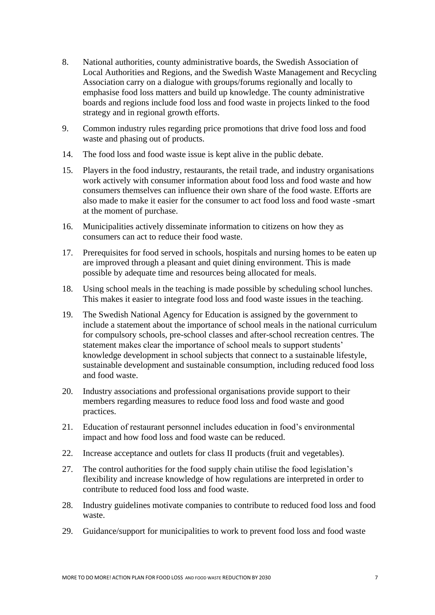- 8. National authorities, county administrative boards, the Swedish Association of Local Authorities and Regions, and the Swedish Waste Management and Recycling Association carry on a dialogue with groups/forums regionally and locally to emphasise food loss matters and build up knowledge. The county administrative boards and regions include food loss and food waste in projects linked to the food strategy and in regional growth efforts.
- 9. Common industry rules regarding price promotions that drive food loss and food waste and phasing out of products.
- 14. The food loss and food waste issue is kept alive in the public debate.
- 15. Players in the food industry, restaurants, the retail trade, and industry organisations work actively with consumer information about food loss and food waste and how consumers themselves can influence their own share of the food waste. Efforts are also made to make it easier for the consumer to act food loss and food waste -smart at the moment of purchase.
- 16. Municipalities actively disseminate information to citizens on how they as consumers can act to reduce their food waste.
- 17. Prerequisites for food served in schools, hospitals and nursing homes to be eaten up are improved through a pleasant and quiet dining environment. This is made possible by adequate time and resources being allocated for meals.
- 18. Using school meals in the teaching is made possible by scheduling school lunches. This makes it easier to integrate food loss and food waste issues in the teaching.
- 19. The Swedish National Agency for Education is assigned by the government to include a statement about the importance of school meals in the national curriculum for compulsory schools, pre-school classes and after-school recreation centres. The statement makes clear the importance of school meals to support students' knowledge development in school subjects that connect to a sustainable lifestyle, sustainable development and sustainable consumption, including reduced food loss and food waste.
- 20. Industry associations and professional organisations provide support to their members regarding measures to reduce food loss and food waste and good practices.
- 21. Education of restaurant personnel includes education in food's environmental impact and how food loss and food waste can be reduced.
- 22. Increase acceptance and outlets for class II products (fruit and vegetables).
- 27. The control authorities for the food supply chain utilise the food legislation's flexibility and increase knowledge of how regulations are interpreted in order to contribute to reduced food loss and food waste.
- 28. Industry guidelines motivate companies to contribute to reduced food loss and food waste.
- 29. Guidance/support for municipalities to work to prevent food loss and food waste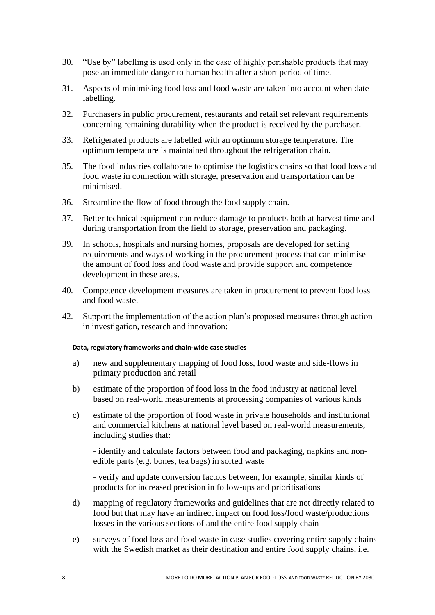- 30. "Use by" labelling is used only in the case of highly perishable products that may pose an immediate danger to human health after a short period of time.
- 31. Aspects of minimising food loss and food waste are taken into account when datelabelling.
- 32. Purchasers in public procurement, restaurants and retail set relevant requirements concerning remaining durability when the product is received by the purchaser.
- 33. Refrigerated products are labelled with an optimum storage temperature. The optimum temperature is maintained throughout the refrigeration chain.
- 35. The food industries collaborate to optimise the logistics chains so that food loss and food waste in connection with storage, preservation and transportation can be minimised.
- 36. Streamline the flow of food through the food supply chain.
- 37. Better technical equipment can reduce damage to products both at harvest time and during transportation from the field to storage, preservation and packaging.
- 39. In schools, hospitals and nursing homes, proposals are developed for setting requirements and ways of working in the procurement process that can minimise the amount of food loss and food waste and provide support and competence development in these areas.
- 40. Competence development measures are taken in procurement to prevent food loss and food waste.
- 42. Support the implementation of the action plan's proposed measures through action in investigation, research and innovation:

## **Data, regulatory frameworks and chain-wide case studies**

- a) new and supplementary mapping of food loss, food waste and side-flows in primary production and retail
- b) estimate of the proportion of food loss in the food industry at national level based on real-world measurements at processing companies of various kinds
- c) estimate of the proportion of food waste in private households and institutional and commercial kitchens at national level based on real-world measurements, including studies that:

- identify and calculate factors between food and packaging, napkins and nonedible parts (e.g. bones, tea bags) in sorted waste

- verify and update conversion factors between, for example, similar kinds of products for increased precision in follow-ups and prioritisations

- d) mapping of regulatory frameworks and guidelines that are not directly related to food but that may have an indirect impact on food loss/food waste/productions losses in the various sections of and the entire food supply chain
- e) surveys of food loss and food waste in case studies covering entire supply chains with the Swedish market as their destination and entire food supply chains, i.e.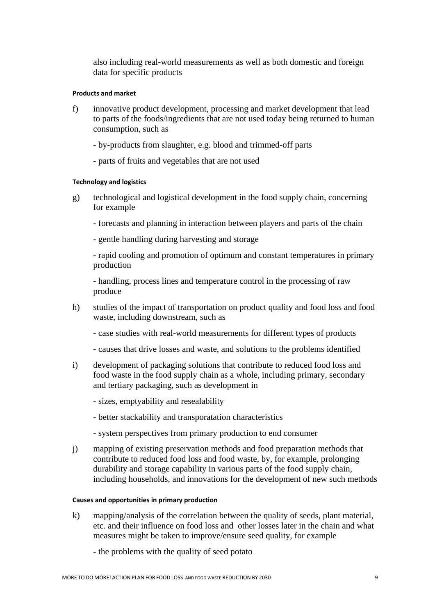also including real-world measurements as well as both domestic and foreign data for specific products

## **Products and market**

- f) innovative product development, processing and market development that lead to parts of the foods/ingredients that are not used today being returned to human consumption, such as
	- by-products from slaughter, e.g. blood and trimmed-off parts
	- parts of fruits and vegetables that are not used

#### **Technology and logistics**

- g) technological and logistical development in the food supply chain, concerning for example
	- forecasts and planning in interaction between players and parts of the chain
	- gentle handling during harvesting and storage

- rapid cooling and promotion of optimum and constant temperatures in primary production

- handling, process lines and temperature control in the processing of raw produce

- h) studies of the impact of transportation on product quality and food loss and food waste, including downstream, such as
	- case studies with real-world measurements for different types of products
	- causes that drive losses and waste, and solutions to the problems identified
- i) development of packaging solutions that contribute to reduced food loss and food waste in the food supply chain as a whole, including primary, secondary and tertiary packaging, such as development in
	- sizes, emptyability and resealability
	- better stackability and transporatation characteristics
	- system perspectives from primary production to end consumer
- j) mapping of existing preservation methods and food preparation methods that contribute to reduced food loss and food waste, by, for example, prolonging durability and storage capability in various parts of the food supply chain, including households, and innovations for the development of new such methods

#### **Causes and opportunities in primary production**

- k) mapping/analysis of the correlation between the quality of seeds, plant material, etc. and their influence on food loss and other losses later in the chain and what measures might be taken to improve/ensure seed quality, for example
	- the problems with the quality of seed potato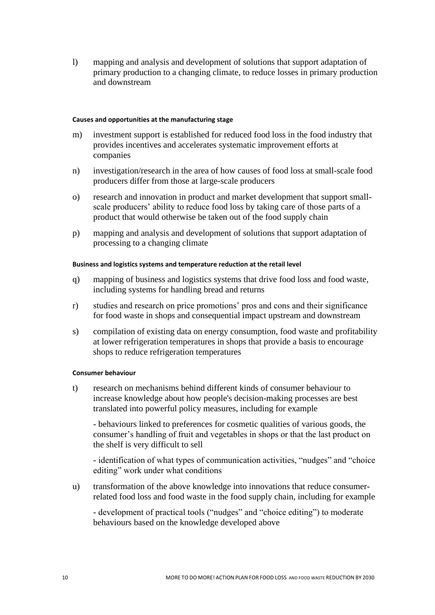l) mapping and analysis and development of solutions that support adaptation of primary production to a changing climate, to reduce losses in primary production and downstream

#### **Causes and opportunities at the manufacturing stage**

- m) investment support is established for reduced food loss in the food industry that provides incentives and accelerates systematic improvement efforts at companies
- n) investigation/research in the area of how causes of food loss at small-scale food producers differ from those at large-scale producers
- o) research and innovation in product and market development that support smallscale producers' ability to reduce food loss by taking care of those parts of a product that would otherwise be taken out of the food supply chain
- p) mapping and analysis and development of solutions that support adaptation of processing to a changing climate

### **Business and logistics systems and temperature reduction at the retail level**

- q) mapping of business and logistics systems that drive food loss and food waste, including systems for handling bread and returns
- r) studies and research on price promotions' pros and cons and their significance for food waste in shops and consequential impact upstream and downstream
- s) compilation of existing data on energy consumption, food waste and profitability at lower refrigeration temperatures in shops that provide a basis to encourage shops to reduce refrigeration temperatures

## **Consumer behaviour**

t) research on mechanisms behind different kinds of consumer behaviour to increase knowledge about how people's decision-making processes are best translated into powerful policy measures, including for example

- behaviours linked to preferences for cosmetic qualities of various goods, the consumer's handling of fruit and vegetables in shops or that the last product on the shelf is very difficult to sell

- identification of what types of communication activities, "nudges" and "choice editing" work under what conditions

u) transformation of the above knowledge into innovations that reduce consumerrelated food loss and food waste in the food supply chain, including for example

- development of practical tools ("nudges" and "choice editing") to moderate behaviours based on the knowledge developed above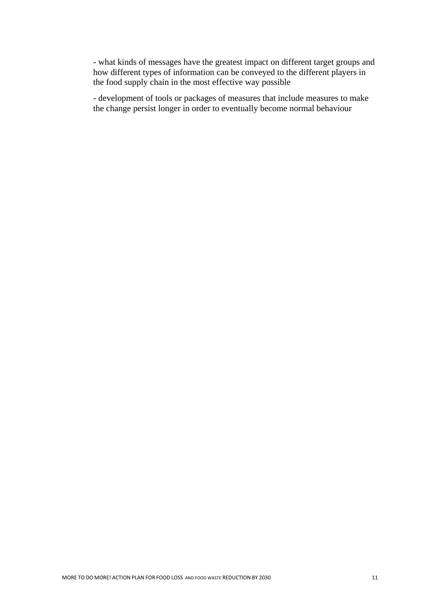- what kinds of messages have the greatest impact on different target groups and how different types of information can be conveyed to the different players in the food supply chain in the most effective way possible

- development of tools or packages of measures that include measures to make the change persist longer in order to eventually become normal behaviour